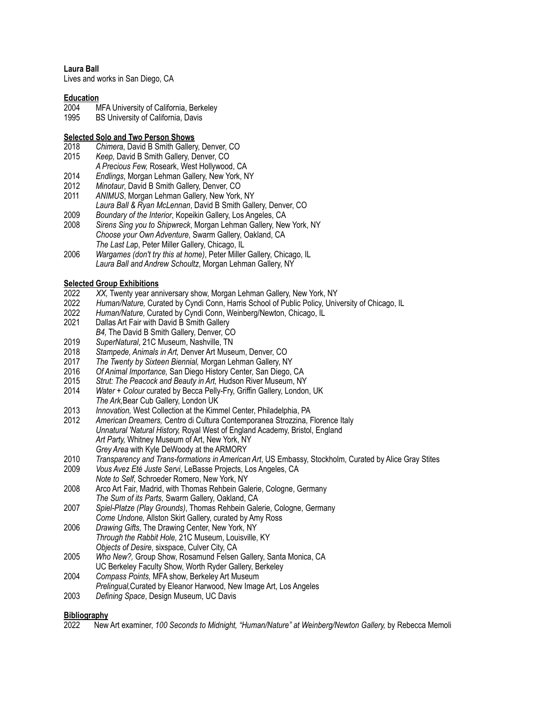**Laura Ball**

Lives and works in San Diego, CA

### **Education**

- 2004 MFA University of California, Berkeley
- 1995 BS University of California, Davis

## **Selected Solo and Two Person Shows**<br>2018 *Chimera*, David B Smith Gallery

- 2018 *Chimera*, David B Smith Gallery, Denver, CO
- 2015 *Keep,* David B Smith Gallery, Denver, CO
- *A Precious Few,* Roseark, West Hollywood, CA
- 2014 *Endlings*, Morgan Lehman Gallery, New York, NY
- 2012 *Minotaur*, David B Smith Gallery, Denver, CO
- ANIMUS, Morgan Lehman Gallery, New York, NY
- *Laura Ball & Ryan McLennan*, David B Smith Gallery, Denver, CO
- 2009 *Boundary of the Interior*, Kopeikin Gallery, Los Angeles, CA
- 2008 *Sirens Sing you to Shipwreck*, Morgan Lehman Gallery, New York, NY *Choose your Own Adventure*, Swarm Gallery, Oakland, CA *The Last La*p, Peter Miller Gallery, Chicago, IL
- 2006 *Wargames (don't try this at home)*, Peter Miller Gallery, Chicago, IL *Laura Ball and Andrew Schoultz*, Morgan Lehman Gallery, NY

# **Selected Group Exhibitions**<br>2022 XX. Twenty year an

- 2022 *XX,* Twenty year anniversary show, Morgan Lehman Gallery, New York, NY<br>2022 Human/Nature, Curated by Cyndi Conn, Harris School of Public Policy, Univ
- 2022 *Human/Nature,* Curated by Cyndi Conn, Harris School of Public Policy, University of Chicago, IL
- 2022 *Human/Nature,* Curated by Cyndi Conn, Weinberg/Newton, Chicago, IL
- Dallas Art Fair with David B Smith Gallery
- *B4,* The David B Smith Gallery, Denver, CO
- 2019 *SuperNatural*, 21C Museum, Nashville, TN
- 2018 *Stampede, Animals in Art,* Denver Art Museum, Denver, CO
- 2017 *The Twenty by Sixteen Biennial,* Morgan Lehman Gallery, NY
- 2016 *Of Animal Importance,* San Diego History Center, San Diego, CA
- 2015 *Strut: The Peacock and Beauty in Art,* Hudson River Museum, NY
- 2014 *Water + Colour* curated by Becca Pelly-Fry, Griffin Gallery, London, UK *The Ark,*Bear Cub Gallery, London UK
- 2013 *Innovation,* West Collection at the Kimmel Center, Philadelphia, PA
- 2012 *American Dreamers,* Centro di Cultura Contemporanea Strozzina, Florence Italy *Unnatural 'Natural History,* Royal West of England Academy, Bristol, England *Art Party,* Whitney Museum of Art, New York, NY *Grey Area* with Kyle DeWoody at the ARMORY
- 2010 *Transparency and Trans-formations in American Art*, US Embassy, Stockholm, Curated by Alice Gray Stites
- 2009 *Vous Avez Eté Juste Servi*, LeBasse Projects, Los Angeles, CA *Note to Self*, Schroeder Romero, New York, NY
- 2008 Arco Art Fair, Madrid, with Thomas Rehbein Galerie, Cologne, Germany *The Sum of its Parts,* Swarm Gallery, Oakland, CA
- 2007 *Spiel-Platze (Play Grounds)*, Thomas Rehbein Galerie, Cologne, Germany *Come Undone,* Allston Skirt Gallery, curated by Amy Ross
- 2006 *Drawing Gifts,* The Drawing Center, New York, NY *Through the Rabbit Hole,* 21C Museum, Louisville, KY *Objects of Desire*, sixspace, Culver City, CA
- 2005 *Who New?,* Group Show, Rosamund Felsen Gallery, Santa Monica, CA UC Berkeley Faculty Show, Worth Ryder Gallery, Berkeley
- 2004 *Compass Points,* MFA show, Berkeley Art Museum
- *Prelingual,*Curated by Eleanor Harwood, New Image Art, Los Angeles
- 2003 *Defining Space*, Design Museum, UC Davis

### **Bibliography**

2022 New Art examiner, *100 Seconds to Midnight, "Human/Nature" at Weinberg/Newton Gallery,* by Rebecca Memoli